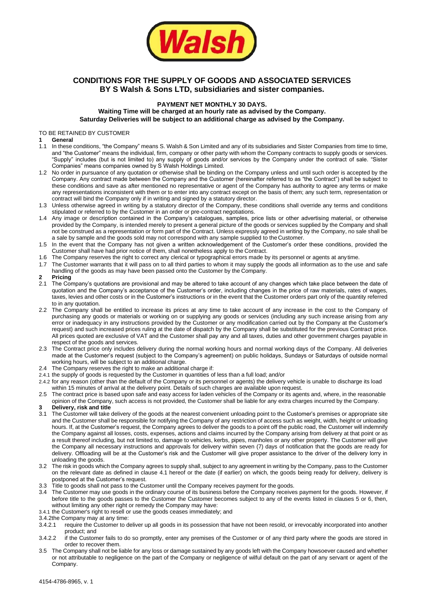

# **CONDITIONS FOR THE SUPPLY OF GOODS AND ASSOCIATED SERVICES BY S Walsh & Sons LTD, subsidiaries and sister companies.**

# **PAYMENT NET MONTHLY 30 DAYS.**

**Waiting Time will be charged at an hourly rate as advised by the Company. Saturday Deliveries will be subject to an additional charge as advised by the Company.**

#### TO BE RETAINED BY CUSTOMER

#### **1 General**

- 1.1 In these conditions, "the Company" means S. Walsh & Son Limited and any of its subsidiaries and Sister Companies from time to time, and "the Customer" means the individual, firm, company or other party with whom the Company contracts to supply goods or services. "Supply" includes (but is not limited to) any supply of goods and/or services by the Company under the contract of sale. "Sister Companies" means companies owned by S Walsh Holdings Limited.
- 1.2 No order in pursuance of any quotation or otherwise shall be binding on the Company unless and until such order is accepted by the Company. Any contract made between the Company and the Customer (hereinafter referred to as "the Contract") shall be subject to these conditions and save as after mentioned no representative or agent of the Company has authority to agree any terms or make any representations inconsistent with them or to enter into any contract except on the basis of them; any such term, representation or contract will bind the Company only if in writing and signed by a statutory director.
- 1.3 Unless otherwise agreed in writing by a statutory director of the Company, these conditions shall override any terms and conditions stipulated or referred to by the Customer in an order or pre-contract negotiations.
- 1.4 Any image or description contained in the Company's catalogues, samples, price lists or other advertising material, or otherwise provided by the Company, is intended merely to present a general picture of the goods or services supplied by the Company and shall not be construed as a representation or form part of the Contract. Unless expressly agreed in writing by the Company, no sale shall be a sale by sample and the goods sold may not correspond with any sample supplied to the Customer.
- 1.5 In the event that the Company has not given a written acknowledgement of the Customer's order these conditions, provided the Customer shall have had prior notice of them, shall nonetheless apply to the Contract.
- 1.6 The Company reserves the right to correct any clerical or typographical errors made by its personnel or agents at anytime.
- 1.7 The Customer warrants that it will pass on to all third parties to whom it may supply the goods all information as to the use and safe handling of the goods as may have been passed onto the Customer by the Company.
- **2 Pricing**
- 2.1 The Company's quotations are provisional and may be altered to take account of any changes which take place between the date of quotation and the Company's acceptance of the Customer's order, including changes in the price of raw materials, rates of wages, taxes, levies and other costs or in the Customer's instructions or in the event that the Customer orders part only of the quantity referred to in any quotation.
- 2.2 The Company shall be entitled to increase its prices at any time to take account of any increase in the cost to the Company of purchasing any goods or materials or working on or supplying any goods or services (including any such increase arising from any error or inadequacy in any instructions provided by the Customer or any modification carried out by the Company at the Customer's request) and such increased prices ruling at the date of dispatch by the Company shall be substituted for the previous Contract price. All prices quoted are exclusive of VAT and the Customer shall pay any and all taxes, duties and other government charges payable in respect of the goods and services.
- 2.3 The Contract price only includes delivery during the normal working hours and normal working days of the Company. All deliveries made at the Customer's request (subject to the Company's agreement) on public holidays, Sundays or Saturdays of outside normal working hours, will be subject to an additional charge.
- 2.4 The Company reserves the right to make an additional charge if:
- 2.4.1 the supply of goods is requested by the Customer in quantities of less than a full load; and/or
- 2.4.2 for any reason (other than the default of the Company or its personnel or agents) the delivery vehicle is unable to discharge its load within 15 minutes of arrival at the delivery point. Details of such charges are available upon request.
- 2.5 The contract price is based upon safe and easy access for laden vehicles of the Company or its agents and, where, in the reasonable opinion of the Company, such access is not provided, the Customer shall be liable for any extra charges incurred by the Company.
- **3 Delivery, risk and title**
- 3.1 The Customer will take delivery of the goods at the nearest convenient unloading point to the Customer's premises or appropriate site and the Customer shall be responsible for notifying the Company of any restriction of access such as weight, width, height or unloading hours. If, at the Customer's request, the Company agrees to deliver the goods to a point off the public road, the Customer will indemnify the Company against all losses, costs, expenses, actions and claims incurred by the Company arising from delivery at that point or as a result thereof including, but not limited to, damage to vehicles, kerbs, pipes, manholes or any other property. The Customer will give the Company all necessary instructions and approvals for delivery within seven (7) days of notification that the goods are ready for delivery. Offloading will be at the Customer's risk and the Customer will give proper assistance to the driver of the delivery lorry in unloading the goods.
- 3.2 The risk in goods which the Company agrees to supply shall, subject to any agreement in writing by the Company, pass to the Customer on the relevant date as defined in clause 4.1 hereof or the date (if earlier) on which, the goods being ready for delivery, delivery is postponed at the Customer's request.
- 3.3 Title to goods shall not pass to the Customer until the Company receives payment for the goods.
- 3.4 The Customer may use goods in the ordinary course of its business before the Company receives payment for the goods. However, if before title to the goods passes to the Customer the Customer becomes subject to any of the events listed in clauses 5 or 6, then, without limiting any other right or remedy the Company may have:
- 3.4.1 the Customer's right to resell or use the goods ceases immediately; and
- 3.4.2the Company may at any time:
- 3.4.2.1 require the Customer to deliver up all goods in its possession that have not been resold, or irrevocably incorporated into another product; and
- 3.4.2.2 if the Customer fails to do so promptly, enter any premises of the Customer or of any third party where the goods are stored in order to recover them.
- 3.5 The Company shall not be liable for any loss or damage sustained by any goods left with the Company howsoever caused and whether or not attributable to negligence on the part of the Company or negligence of wilful default on the part of any servant or agent of the Company.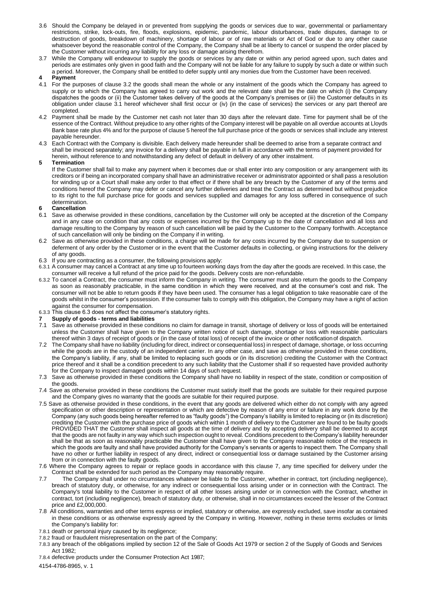- 3.6 Should the Company be delayed in or prevented from supplying the goods or services due to war, governmental or parliamentary restrictions, strike, lock-outs, fire, floods, explosions, epidemic, pandemic, labour disturbances, trade disputes, damage to or destruction of goods, breakdown of machinery, shortage of labour or of raw materials or Act of God or due to any other cause whatsoever beyond the reasonable control of the Company, the Company shall be at liberty to cancel or suspend the order placed by the Customer without incurring any liability for any loss or damage arising therefrom.
- 3.7 While the Company will endeavour to supply the goods or services by any date or within any period agreed upon, such dates and periods are estimates only given in good faith and the Company will not be liable for any failure to supply by such a date or within such a period. Moreover, the Company shall be entitled to defer supply until any monies due from the Customer have been received.

#### **4 Payment**

- 4.1 For the purposes of clause 3.2 the goods shall mean the whole or any instalment of the goods which the Company has agreed to supply or to which the Company has agreed to carry out work and the relevant date shall be the date on which (i) the Company dispatches the goods or (ii) the Customer takes delivery of the goods at the Company's premises or (iii) the Customer defaults in its obligation under clause 3.1 hereof whichever shall first occur or (iv) (in the case of services) the services or any part thereof are completed.
- 4.2 Payment shall be made by the Customer net cash not later than 30 days after the relevant date. Time for payment shall be of the essence of the Contract. Without prejudice to any other rights of the Company interest will be payable on all overdue accounts at Lloyds Bank base rate plus 4% and for the purpose of clause 5 hereof the full purchase price of the goods or services shall include any interest payable hereunder.
- 4.3 Each Contract with the Company is divisible. Each delivery made hereunder shall be deemed to arise from a separate contract and shall be invoiced separately; any invoice for a delivery shall be payable in full in accordance with the terms of payment provided for herein, without reference to and notwithstanding any defect of default in delivery of any other instalment.

#### **5 Termination**

If the Customer shall fail to make any payment when it becomes due or shall enter into any composition or any arrangement with its creditors or if being an incorporated company shall have an administrative receiver or administrator appointed or shall pass a resolution for winding up or a Court shall make any order to that effect or if there shall be any breach by the Customer of any of the terms and conditions hereof the Company may defer or cancel any further deliveries and treat the Contract as determined but without prejudice to its right to the full purchase price for goods and services supplied and damages for any loss suffered in consequence of such determination.

#### **6 Cancellation**

- 6.1 Save as otherwise provided in these conditions, cancellation by the Customer will only be accepted at the discretion of the Company and in any case on condition that any costs or expenses incurred by the Company up to the date of cancellation and all loss and damage resulting to the Company by reason of such cancellation will be paid by the Customer to the Company forthwith. Acceptance of such cancellation will only be binding on the Company if in writing.
- 6.2 Save as otherwise provided in these conditions, a charge will be made for any costs incurred by the Company due to suspension or deferment of any order by the Customer or in the event that the Customer defaults in collecting, or giving instructions for the delivery of any goods.
- 6.3 If you are contracting as a consumer, the following provisions apply:
- 6.3.1 A consumer may cancel a Contract at any time up to fourteen working days from the day after the goods are received. In this case, the consumer will receive a full refund of the price paid for the goods. Delivery costs are non-refundable.
- 6.3.2 To cancel a Contract, the consumer must inform the Company in writing. The consumer must also return the goods to the Company as soon as reasonably practicable, in the same condition in which they were received, and at the consumer's cost and risk. The consumer will not be able to return goods if they have been used. The consumer has a legal obligation to take reasonable care of the goods whilst in the consumer's possession. If the consumer fails to comply with this obligation, the Company may have a right of action against the consumer for compensation.
- 6.3.3 This clause 6.3 does not affect the consumer's statutory rights.
- **7 Supply of goods - terms and liabilities**
- 7.1 Save as otherwise provided in these conditions no claim for damage in transit, shortage of delivery or loss of goods will be entertained unless the Customer shall have given to the Company written notice of such damage, shortage or loss with reasonable particulars thereof within 3 days of receipt of goods or (in the case of total loss) of receipt of the invoice or other notification of dispatch.
- 7.2 The Company shall have no liability (including for direct, indirect or consequential loss) in respect of damage, shortage, or loss occurring while the goods are in the custody of an independent carrier. In any other case, and save as otherwise provided in these conditions, the Company's liability, if any, shall be limited to replacing such goods or (in its discretion) crediting the Customer with the Contract price thereof and it shall be a condition precedent to any such liability that the Customer shall if so requested have provided authority for the Company to inspect damaged goods within 14 days of such request.
- 7.3 Save as otherwise provided in these conditions the Company shall have no liability in respect of the state, condition or composition of the goods.
- 7.4 Save as otherwise provided in these conditions the Customer must satisfy itself that the goods are suitable for their required purpose and the Company gives no warranty that the goods are suitable for their required purpose.
- 7.5 Save as otherwise provided in these conditions, in the event that any goods are delivered which either do not comply with any agreed specification or other description or representation or which are defective by reason of any error or failure in any work done by the Company (any such goods being hereafter referred to as "faulty goods") the Company's liability is limited to replacing or (in its discretion) crediting the Customer with the purchase price of goods which within 1 month of delivery to the Customer are found to be faulty goods PROVIDED THAT the Customer shall inspect all goods at the time of delivery and by accepting delivery shall be deemed to accept that the goods are not faulty in any way which such inspection ought to reveal. Conditions precedent to the Company's liability hereunder shall be that as soon as reasonably practicable the Customer shall have given to the Company reasonable notice of the respects in which the goods are faulty and shall have provided authority for the Company's servants or agents to inspect them. The Company shall have no other or further liability in respect of any direct, indirect or consequential loss or damage sustained by the Customer arising from or in connection with the faulty goods.
- 7.6 Where the Company agrees to repair or replace goods in accordance with this clause 7, any time specified for delivery under the Contract shall be extended for such period as the Company may reasonably require.
- 7.7 The Company shall under no circumstances whatever be liable to the Customer, whether in contract, tort (including negligence), breach of statutory duty, or otherwise, for any indirect or consequential loss arising under or in connection with the Contract. The Company's total liability to the Customer in respect of all other losses arising under or in connection with the Contract, whether in contract, tort (including negligence), breach of statutory duty, or otherwise, shall in no circumstances exceed the lesser of the Contract price and £2,000,000.
- 7.8 All conditions, warranties and other terms express or implied, statutory or otherwise, are expressly excluded, save insofar as contained in these conditions or as otherwise expressly agreed by the Company in writing. However, nothing in these terms excludes or limits the Company's liability for:
- 7.8.1 death or personal injury caused by its negligence;
- 7.8.2 fraud or fraudulent misrepresentation on the part of the Company;
- 7.8.3 any breach of the obligations implied by section 12 of the Sale of Goods Act 1979 or section 2 of the Supply of Goods and Services Act 1982;
- 7.8.4 defective products under the Consumer Protection Act 1987;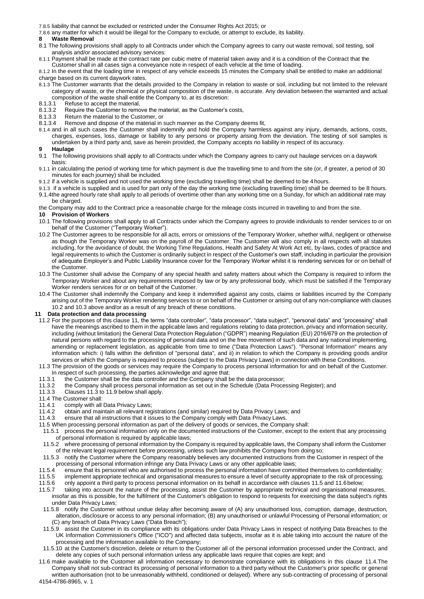7.8.5 liability that cannot be excluded or restricted under the Consumer Rights Act 2015; or

7.8.6 any matter for which it would be illegal for the Company to exclude, or attempt to exclude, its liability.<br>8. Waste Removal

#### **8 Waste Removal**

- 8.1 The following provisions shall apply to all Contracts under which the Company agrees to carry out waste removal, soil testing, soil analysis and/or associated advisory services:
- 8.1.1 Payment shall be made at the contract rate per cubic metre of material taken away and it is a condition of the Contract that the Customer shall in all cases sign a conveyance note in respect of each vehicle at the time of loading.
- 8.1.2 In the event that the loading time in respect of any vehicle exceeds 15 minutes the Company shall be entitled to make an additional charge based on its current daywork rates.
- 8.1.3 The Customer warrants that the details provided to the Company in relation to waste or soil, including but not limited to the relevant category of waste, or the chemical or physical composition of the waste, is accurate. Any deviation between the warranted and actual composition of the waste shall entitle the Company to, at its discretion:<br>8.1.3.1 Refuse to accept the material.
- 8.1.3.1 Refuse to accept the material,<br>8.1.3.2 Require the Customer to remo
- 8.1.3.2 Require the Customer to remove the material, as the Customer's costs, 8.1.3.3 Return the material to the Customer or
- Return the material to the Customer, or
- 8.1.3.4 Remove and dispose of the material in such manner as the Company deems fit,
- 8.1.4 and in all such cases the Customer shall indemnify and hold the Company harmless against any injury, demands, actions, costs, charges, expenses, loss, damage or liability to any persons or property arising from the deviation. The testing of soil samples is undertaken by a third party and, save as herein provided, the Company accepts no liability in respect of its accuracy.
- 
- **9 Haulage** The following provisions shall apply to all Contracts under which the Company agrees to carry out haulage services on a daywork basis:
- 9.1.1 in calculating the period of working time for which payment is due the travelling time to and from the site (or, if greater, a period of 30 minutes for each journey) shall be included.
- 9.1.2 if a vehicle is supplied and not used the working time (excluding travelling time) shall be deemed to be 4 hours.
- 9.1.3 if a vehicle is supplied and is used for part only of the day the working time (excluding travelling time) shall be deemed to be 8 hours. 9.1.4the agreed hourly rate shall apply to all periods of overtime other than any working time on a Sunday, for which an additional rate may be charged.
- the Company may add to the Contract price a reasonable charge for the mileage costs incurred in travelling to and from the site.

#### **10 Provision of Workers**

- 10.1 The following provisions shall apply to all Contracts under which the Company agrees to provide individuals to render services to or on behalf of the Customer ("Temporary Worker").
- 10.2 The Customer agrees to be responsible for all acts, errors or omissions of the Temporary Worker, whether wilful, negligent or otherwise as though the Temporary Worker was on the payroll of the Customer. The Customer will also comply in all respects with all statutes including, for the avoidance of doubt, the Working Time Regulations, Health and Safety At Work Act etc, by-laws, codes of practice and legal requirements to which the Customer is ordinarily subject in respect of the Customer's own staff, including in particular the provision of adequate Employer's and Public Liability Insurance cover for the Temporary Worker whilst it is rendering services for or on behalf of the Customer.
- 10.3 The Customer shall advise the Company of any special health and safety matters about which the Company is required to inform the Temporary Worker and about any requirements imposed by law or by any professional body, which must be satisfied if the Temporary Worker renders services for or on behalf of the Customer.
- 10.4 The Customer shall indemnify the Company and keep it indemnified against any costs, claims or liabilities incurred by the Company arising out of the Temporary Worker rendering services to or on behalf of the Customer or arising out of any non-compliance with clauses 10.2 and 10.3 above and/or as a result of any breach of these conditions.

#### **11 Data protection and data processing**

- 11.2 For the purposes of this clause 11, the terms "data controller", "data processor", "data subject", "personal data" and "processing" shall have the meanings ascribed to them in the applicable laws and regulations relating to data protection, privacy and information security, including (without limitation) the General Data Protection Regulation ("GDPR") meaning Regulation (EU) 2016/679 on the protection of natural persons with regard to the processing of personal data and on the free movement of such data and any national implementing, amending or replacement legislation, as applicable from time to time ("Data Protection Laws"). "Personal Information" means any information which: i) falls within the definition of "personal data", and ii) in relation to which the Company is providing goods and/or services or which the Company is required to process (subject to the Data Privacy Laws) in connection with these Conditions.
- 11.3 The provision of the goods or services may require the Company to process personal information for and on behalf of the Customer. In respect of such processing, the parties acknowledge and agree that:<br>11.3.1 the Customer shall be the data controller and the Company shall be
- 11.3.1 the Customer shall be the data controller and the Company shall be the data processor;<br>11.3.2 the Company shall process personal information as set out in the Schedule (Data Proce
- the Company shall process personal information as set out in the Schedule (Data Processing Register); and
- 11.3.3 Clauses 11.3 to 11.9 below shall apply.
- 11.4 The Customer shall:
- 
- 11.4.1 comply with all Data Privacy Laws;<br>11.4.2 obtain and maintain all relevant reg 11.4.2 obtain and maintain all relevant registrations (and similar) required by Data Privacy Laws; and
- 11.4.3 ensure that all instructions that it issues to the Company comply with Data Privacy Laws.
- 11.5 When processing personal information as part of the delivery of goods or services, the Company shall:
- 11.5.1 process the personal information only on the documented instructions of the Customer, except to the extent that any processing of personal information is required by applicable laws;
- 11.5.2 where processing of personal information by the Company is required by applicable laws, the Company shall inform the Customer of the relevant legal requirement before processing, unless such law prohibits the Company from doing so;
- 11.5.3 notify the Customer where the Company reasonably believes any documented instructions from the Customer in respect of the processing of personal information infringe any Data Privacy Laws or any other applicable laws;
- 11.5.4 ensure that its personnel who are authorised to process the personal information have committed themselves to confidentiality;
- 11.5.5 implement appropriate technical and organisational measures to ensure a level of security appropriate to the risk of processing;
- 11.5.6 only appoint a third party to process personal information on its behalf in accordance with clauses 11.5 and 11.6below;
- 11.5.7 taking into account the nature of the processing, assist the Customer by appropriate technical and organisational measures, insofar as this is possible, for the fulfilment of the Customer's obligation to respond to requests for exercising the data subject's rights under Data Privacy Laws;
- 11.5.8 notify the Customer without undue delay after becoming aware of (A) any unauthorised loss, corruption, damage, destruction, alteration, disclosure or access to any personal information; (B) any unauthorised or unlawful Processing of Personal information; or (C) any breach of Data Privacy Laws ("Data Breach");
- 11.5.9 assist the Customer in its compliance with its obligations under Data Privacy Laws in respect of notifying Data Breaches to the UK Information Commissioner's Office ("ICO") and affected data subjects, insofar as it is able taking into account the nature of the processing and the information available to the Company;
- 11.5.10 at the Customer's discretion, delete or return to the Customer all of the personal information processed under the Contract, and delete any copies of such personal information unless any applicable laws require that copies are kept; and
- 4154-4786-8965, v. 1 11.6 make available to the Customer all information necessary to demonstrate compliance with its obligations in this clause 11.4.The Company shall not sub-contract its processing of personal information to a third party without the Customer's prior specific or general written authorisation (not to be unreasonably withheld, conditioned or delayed). Where any sub-contracting of processing of personal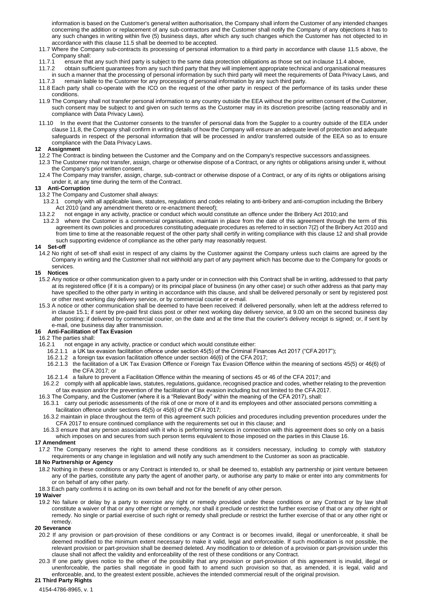information is based on the Customer's general written authorisation, the Company shall inform the Customer of any intended changes concerning the addition or replacement of any sub-contractors and the Customer shall notify the Company of any objections it has to any such changes in writing within five (5) business days, after which any such changes which the Customer has not objected to in accordance with this clause 11.5 shall be deemed to be accepted.

- 11.7 Where the Company sub-contracts its processing of personal information to a third party in accordance with clause 11.5 above, the Company shall:<br>11.7.1 ensure tha
- 11.7.1 ensure that any such third party is subject to the same data protection obligations as those set out inclause 11.4 above,
- 11.7.2 obtain sufficient guarantees from any such third party that they will implement appropriate technical and organisational measures in such a manner that the processing of personal information by such third party will meet the requirements of Data Privacy Laws, and<br>11.7.3 remain liable to the Customer for any processing of personal information by any s remain liable to the Customer for any processing of personal information by any such third party.
- 11.8 Each party shall co-operate with the ICO on the request of the other party in respect of the performance of its tasks under these conditions.
- 11.9 The Company shall not transfer personal information to any country outside the EEA without the prior written consent of the Customer, such consent may be subject to and given on such terms as the Customer may in its discretion prescribe (acting reasonably and in compliance with Data Privacy Laws).
- 11.10 In the event that the Customer consents to the transfer of personal data from the Suppler to a country outside of the EEA under clause 11.8, the Company shall confirm in writing details of how the Company will ensure an adequate level of protection and adequate safeguards in respect of the personal information that will be processed in and/or transferred outside of the EEA so as to ensure compliance with the Data Privacy Laws.

### **12 Assignment**

- 12.2 The Contract is binding between the Customer and the Company and on the Company's respective successors andassignees.
- 12.3 The Customer may not transfer, assign, charge or otherwise dispose of a Contract, or any rights or obligations arising under it, without the Company's prior written consent.
- 12.4 The Company may transfer, assign, charge, sub-contract or otherwise dispose of a Contract, or any of its rights or obligations arising under it, at any time during the term of the Contract.

### **13 Anti-Corruption**

- 13.2 The Company and Customer shall always:
- 13.2.1 comply with all applicable laws, statutes, regulations and codes relating to anti-bribery and anti-corruption including the Bribery Act 2010 (and any amendment thereto or re-enactment thereof);<br>13.2.2 not engage in any activity, practice or conduct which would con
	- not engage in any activity, practice or conduct which would constitute an offence under the Bribery Act 2010; and
- 13.2.3 where the Customer is a commercial organisation, maintain in place from the date of this agreement through the term of this agreement its own policies and procedures constituting adequate procedures as referred to in section 7(2) of the Bribery Act 2010 and from time to time at the reasonable request of the other party shall certify in writing compliance with this clause 12 and shall provide such supporting evidence of compliance as the other party may reasonably request.

### **14 Set-off**

14.2 No right of set-off shall exist in respect of any claims by the Customer against the Company unless such claims are agreed by the Company in writing and the Customer shall not withhold any part of any payment which has become due to the Company for goods or services.

### **15 Notices**

- 15.2 Any notice or other communication given to a party under or in connection with this Contract shall be in writing, addressed to that party at its registered office (if it is a company) or its principal place of business (in any other case) or such other address as that party may have specified to the other party in writing in accordance with this clause, and shall be delivered personally or sent by registered post or other next working day delivery service, or by commercial courier or e-mail.
- 15.3 A notice or other communication shall be deemed to have been received: if delivered personally, when left at the address referred to in clause 15.1; if sent by pre-paid first class post or other next working day delivery service, at 9.00 am on the second business day after posting; if delivered by commercial courier, on the date and at the time that the courier's delivery receipt is signed; or, if sent by e-mail, one business day after transmission.

### **16 Anti-Facilitation of Tax Evasion**

- 16.2 The parties shall:<br>16.2.1 not engage i
	- not engage in any activity, practice or conduct which would constitute either:
	- 16.2.1.1 a UK tax evasion facilitation offence under section 45(5) of the Criminal Finances Act 2017 ("CFA 2017");
	- 16.2.1.2 a foreign tax evasion facilitation offence under section 46(6) of the CFA 2017;
	- 16.2.1.3 the facilitation of a UK Tax Evasion Offence or Foreign Tax Evasion Offence within the meaning of sections 45(5) or 46(6) of the CFA 2017; or
	- 16.2.1.4 a failure to prevent a Facilitation Offence within the meaning of sections 45 or 46 of the CFA 2017; and
- 16.2.2 comply with all applicable laws, statutes, regulations, guidance, recognised practice and codes, whether relating to the prevention of tax evasion and/or the prevention of the facilitation of tax evasion including but not limited to the CFA 2017.
- 16.3 The Company, and the Customer (where it is a "Relevant Body" within the meaning of the CFA 2017), shall:
- 16.3.1 carry out periodic assessments of the risk of one or more of it and its employees and other associated persons committing a facilitation offence under sections 45(5) or 45(6) of the CFA 2017;
- 16.3.2 maintain in place throughout the term of this agreement such policies and procedures including prevention procedures under the CFA 2017 to ensure continued compliance with the requirements set out in this clause; and
- 16.3.3 ensure that any person associated with it who is performing services in connection with this agreement does so only on a basis which imposes on and secures from such person terms equivalent to those imposed on the parties in this Clause 16.

#### **17 Amendment**

17.2 The Company reserves the right to amend these conditions as it considers necessary, including to comply with statutory requirements or any change in legislation and will notify any such amendment to the Customer as soon as practicable.

### **18 No Partnership or Agency**

- 18.2 Nothing in these conditions or any Contract is intended to, or shall be deemed to, establish any partnership or joint venture between any of the parties, constitute any party the agent of another party, or authorise any party to make or enter into any commitments for or on behalf of any other party.
- 18.3 Each party confirms it is acting on its own behalf and not for the benefit of any other person.

#### **19 Waiver**

19.2 No failure or delay by a party to exercise any right or remedy provided under these conditions or any Contract or by law shall constitute a waiver of that or any other right or remedy, nor shall it preclude or restrict the further exercise of that or any other right or remedy. No single or partial exercise of such right or remedy shall preclude or restrict the further exercise of that or any other right or remedy.

#### **20 Severance**

- 20.2 If any provision or part-provision of these conditions or any Contract is or becomes invalid, illegal or unenforceable, it shall be deemed modified to the minimum extent necessary to make it valid, legal and enforceable. If such modification is not possible, the relevant provision or part-provision shall be deemed deleted. Any modification to or deletion of a provision or part-provision under this clause shall not affect the validity and enforceability of the rest of these conditions or any Contract.
- 20.3 If one party gives notice to the other of the possibility that any provision or part-provision of this agreement is invalid, illegal or unenforceable, the parties shall negotiate in good faith to amend such provision so that, as amended, it is legal, valid and enforceable, and, to the greatest extent possible, achieves the intended commercial result of the original provision.

## **21 Third Party Rights**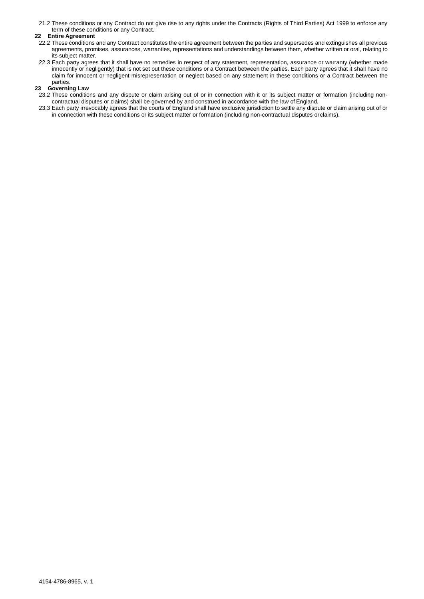21.2 These conditions or any Contract do not give rise to any rights under the Contracts (Rights of Third Parties) Act 1999 to enforce any term of these conditions or any Contract.

### **22 Entire Agreement**

- 22.2 These conditions and any Contract constitutes the entire agreement between the parties and supersedes and extinguishes all previous agreements, promises, assurances, warranties, representations and understandings between them, whether written or oral, relating to its subject matter.
- 22.3 Each party agrees that it shall have no remedies in respect of any statement, representation, assurance or warranty (whether made innocently or negligently) that is not set out these conditions or a Contract between the parties. Each party agrees that it shall have no claim for innocent or negligent misrepresentation or neglect based on any statement in these conditions or a Contract between the parties.

# **23 Governing Law**

- 23.2 These conditions and any dispute or claim arising out of or in connection with it or its subject matter or formation (including noncontractual disputes or claims) shall be governed by and construed in accordance with the law of England.
- 23.3 Each party irrevocably agrees that the courts of England shall have exclusive jurisdiction to settle any dispute or claim arising out of or in connection with these conditions or its subject matter or formation (including non-contractual disputes orclaims).